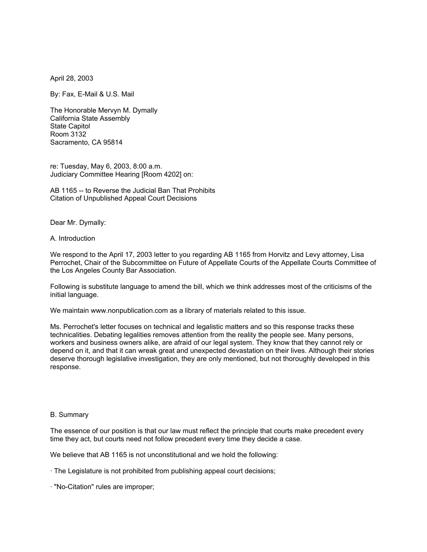April 28, 2003

By: Fax, E-Mail & U.S. Mail

The Honorable Mervyn M. Dymally California State Assembly State Capitol Room 3132 Sacramento, CA 95814

re: Tuesday, May 6, 2003, 8:00 a.m. Judiciary Committee Hearing [Room 4202] on:

AB 1165 -- to Reverse the Judicial Ban That Prohibits Citation of Unpublished Appeal Court Decisions

Dear Mr. Dymally:

A. Introduction

We respond to the April 17, 2003 letter to you regarding AB 1165 from Horvitz and Levy attorney, Lisa Perrochet, Chair of the Subcommittee on Future of Appellate Courts of the Appellate Courts Committee of the Los Angeles County Bar Association.

Following is substitute language to amend the bill, which we think addresses most of the criticisms of the initial language.

We maintain www.nonpublication.com as a library of materials related to this issue.

Ms. Perrochet's letter focuses on technical and legalistic matters and so this response tracks these technicalities. Debating legalities removes attention from the reality the people see. Many persons, workers and business owners alike, are afraid of our legal system. They know that they cannot rely or depend on it, and that it can wreak great and unexpected devastation on their lives. Although their stories deserve thorough legislative investigation, they are only mentioned, but not thoroughly developed in this response.

#### B. Summary

The essence of our position is that our law must reflect the principle that courts make precedent every time they act, but courts need not follow precedent every time they decide a case.

We believe that AB 1165 is not unconstitutional and we hold the following:

- · The Legislature is not prohibited from publishing appeal court decisions;
- · "No-Citation" rules are improper;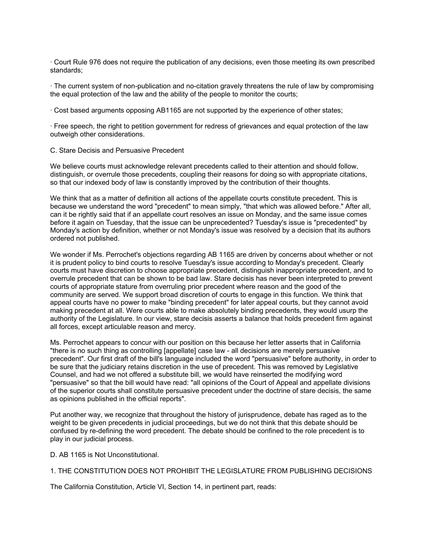· Court Rule 976 does not require the publication of any decisions, even those meeting its own prescribed standards;

· The current system of non-publication and no-citation gravely threatens the rule of law by compromising the equal protection of the law and the ability of the people to monitor the courts;

· Cost based arguments opposing AB1165 are not supported by the experience of other states;

· Free speech, the right to petition government for redress of grievances and equal protection of the law outweigh other considerations.

## C. Stare Decisis and Persuasive Precedent

We believe courts must acknowledge relevant precedents called to their attention and should follow, distinguish, or overrule those precedents, coupling their reasons for doing so with appropriate citations, so that our indexed body of law is constantly improved by the contribution of their thoughts.

We think that as a matter of definition all actions of the appellate courts constitute precedent. This is because we understand the word "precedent" to mean simply, "that which was allowed before." After all, can it be rightly said that if an appellate court resolves an issue on Monday, and the same issue comes before it again on Tuesday, that the issue can be unprecedented? Tuesday's issue is "precedented" by Monday's action by definition, whether or not Monday's issue was resolved by a decision that its authors ordered not published.

We wonder if Ms. Perrochet's objections regarding AB 1165 are driven by concerns about whether or not it is prudent policy to bind courts to resolve Tuesday's issue according to Monday's precedent. Clearly courts must have discretion to choose appropriate precedent, distinguish inappropriate precedent, and to overrule precedent that can be shown to be bad law. Stare decisis has never been interpreted to prevent courts of appropriate stature from overruling prior precedent where reason and the good of the community are served. We support broad discretion of courts to engage in this function. We think that appeal courts have no power to make "binding precedent" for later appeal courts, but they cannot avoid making precedent at all. Were courts able to make absolutely binding precedents, they would usurp the authority of the Legislature. In our view, stare decisis asserts a balance that holds precedent firm against all forces, except articulable reason and mercy.

Ms. Perrochet appears to concur with our position on this because her letter asserts that in California "there is no such thing as controlling [appellate] case law - all decisions are merely persuasive precedent". Our first draft of the bill's language included the word "persuasive" before authority, in order to be sure that the judiciary retains discretion in the use of precedent. This was removed by Legislative Counsel, and had we not offered a substitute bill, we would have reinserted the modifying word "persuasive" so that the bill would have read: "all opinions of the Court of Appeal and appellate divisions of the superior courts shall constitute persuasive precedent under the doctrine of stare decisis, the same as opinions published in the official reports".

Put another way, we recognize that throughout the history of jurisprudence, debate has raged as to the weight to be given precedents in judicial proceedings, but we do not think that this debate should be confused by re-defining the word precedent. The debate should be confined to the role precedent is to play in our judicial process.

D. AB 1165 is Not Unconstitutional.

# 1. THE CONSTITUTION DOES NOT PROHIBIT THE LEGISLATURE FROM PUBLISHING DECISIONS

The California Constitution, Article VI, Section 14, in pertinent part, reads: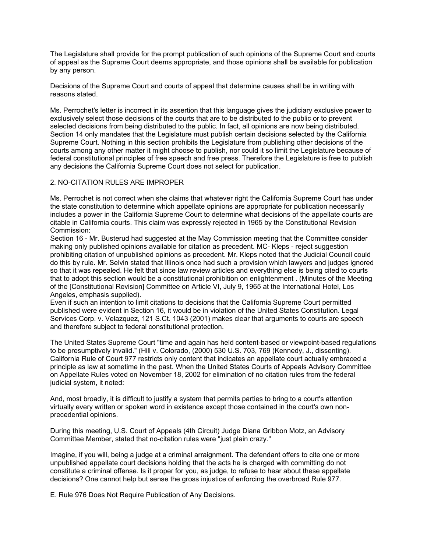The Legislature shall provide for the prompt publication of such opinions of the Supreme Court and courts of appeal as the Supreme Court deems appropriate, and those opinions shall be available for publication by any person.

Decisions of the Supreme Court and courts of appeal that determine causes shall be in writing with reasons stated.

Ms. Perrochet's letter is incorrect in its assertion that this language gives the judiciary exclusive power to exclusively select those decisions of the courts that are to be distributed to the public or to prevent selected decisions from being distributed to the public. In fact, all opinions are now being distributed. Section 14 only mandates that the Legislature must publish certain decisions selected by the California Supreme Court. Nothing in this section prohibits the Legislature from publishing other decisions of the courts among any other matter it might choose to publish, nor could it so limit the Legislature because of federal constitutional principles of free speech and free press. Therefore the Legislature is free to publish any decisions the California Supreme Court does not select for publication.

## 2. NO-CITATION RULES ARE IMPROPER

Ms. Perrochet is not correct when she claims that whatever right the California Supreme Court has under the state constitution to determine which appellate opinions are appropriate for publication necessarily includes a power in the California Supreme Court to determine what decisions of the appellate courts are citable in California courts. This claim was expressly rejected in 1965 by the Constitutional Revision Commission:

Section 16 - Mr. Busterud had suggested at the May Commission meeting that the Committee consider making only published opinions available for citation as precedent. MC- Kleps - reject suggestion prohibiting citation of unpublished opinions as precedent. Mr. Kleps noted that the Judicial Council could do this by rule. Mr. Selvin stated that Illinois once had such a provision which lawyers and judges ignored so that it was repealed. He felt that since law review articles and everything else is being cited to courts that to adopt this section would be a constitutional prohibition on enlightenment . (Minutes of the Meeting of the [Constitutional Revision] Committee on Article VI, July 9, 1965 at the International Hotel, Los Angeles, emphasis supplied).

Even if such an intention to limit citations to decisions that the California Supreme Court permitted published were evident in Section 16, it would be in violation of the United States Constitution. Legal Services Corp. v. Velazquez, 121 S.Ct. 1043 (2001) makes clear that arguments to courts are speech and therefore subject to federal constitutional protection.

The United States Supreme Court "time and again has held content-based or viewpoint-based regulations to be presumptively invalid." (Hill v. Colorado, (2000) 530 U.S. 703, 769 (Kennedy, J., dissenting). California Rule of Court 977 restricts only content that indicates an appellate court actually embraced a principle as law at sometime in the past. When the United States Courts of Appeals Advisory Committee on Appellate Rules voted on November 18, 2002 for elimination of no citation rules from the federal judicial system, it noted:

And, most broadly, it is difficult to justify a system that permits parties to bring to a court's attention virtually every written or spoken word in existence except those contained in the court's own nonprecedential opinions.

During this meeting, U.S. Court of Appeals (4th Circuit) Judge Diana Gribbon Motz, an Advisory Committee Member, stated that no-citation rules were "just plain crazy."

Imagine, if you will, being a judge at a criminal arraignment. The defendant offers to cite one or more unpublished appellate court decisions holding that the acts he is charged with committing do not constitute a criminal offense. Is it proper for you, as judge, to refuse to hear about these appellate decisions? One cannot help but sense the gross injustice of enforcing the overbroad Rule 977.

E. Rule 976 Does Not Require Publication of Any Decisions.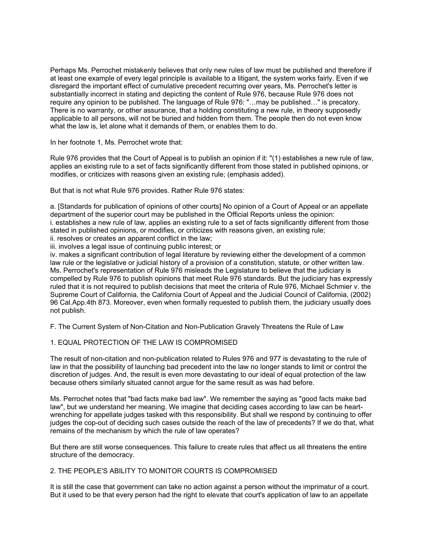Perhaps Ms. Perrochet mistakenly believes that only new rules of law must be published and therefore if at least one example of every legal principle is available to a litigant, the system works fairly. Even if we disregard the important effect of cumulative precedent recurring over years, Ms. Perrochet's letter is substantially incorrect in stating and depicting the content of Rule 976, because Rule 976 does not require any opinion to be published. The language of Rule 976: "…may be published…" is precatory. There is no warranty, or other assurance, that a holding constituting a new rule, in theory supposedly applicable to all persons, will not be buried and hidden from them. The people then do not even know what the law is, let alone what it demands of them, or enables them to do.

In her footnote 1, Ms. Perrochet wrote that:

Rule 976 provides that the Court of Appeal is to publish an opinion if it: "(1) establishes a new rule of law, applies an existing rule to a set of facts significantly different from those stated in published opinions, or modifies, or criticizes with reasons given an existing rule; (emphasis added).

But that is not what Rule 976 provides. Rather Rule 976 states:

a. [Standards for publication of opinions of other courts] No opinion of a Court of Appeal or an appellate department of the superior court may be published in the Official Reports unless the opinion: i. establishes a new rule of law, applies an existing rule to a set of facts significantly different from those stated in published opinions, or modifies, or criticizes with reasons given, an existing rule;

ii. resolves or creates an apparent conflict in the law;

iii. involves a legal issue of continuing public interest; or

iv. makes a significant contribution of legal literature by reviewing either the development of a common law rule or the legislative or judicial history of a provision of a constitution, statute, or other written law. Ms. Perrochet's representation of Rule 976 misleads the Legislature to believe that the judiciary is compelled by Rule 976 to publish opinions that meet Rule 976 standards. But the judiciary has expressly ruled that it is not required to publish decisions that meet the criteria of Rule 976, Michael Schmier v. the Supreme Court of California, the California Court of Appeal and the Judicial Council of California, (2002) 96 Cal.App.4th 873. Moreover, even when formally requested to publish them, the judiciary usually does not publish.

F. The Current System of Non-Citation and Non-Publication Gravely Threatens the Rule of Law

## 1. EQUAL PROTECTION OF THE LAW IS COMPROMISED

The result of non-citation and non-publication related to Rules 976 and 977 is devastating to the rule of law in that the possibility of launching bad precedent into the law no longer stands to limit or control the discretion of judges. And, the result is even more devastating to our ideal of equal protection of the law because others similarly situated cannot argue for the same result as was had before.

Ms. Perrochet notes that "bad facts make bad law". We remember the saying as "good facts make bad law", but we understand her meaning. We imagine that deciding cases according to law can be heartwrenching for appellate judges tasked with this responsibility. But shall we respond by continuing to offer judges the cop-out of deciding such cases outside the reach of the law of precedents? If we do that, what remains of the mechanism by which the rule of law operates?

But there are still worse consequences. This failure to create rules that affect us all threatens the entire structure of the democracy.

## 2. THE PEOPLE'S ABILITY TO MONITOR COURTS IS COMPROMISED

It is still the case that government can take no action against a person without the imprimatur of a court. But it used to be that every person had the right to elevate that court's application of law to an appellate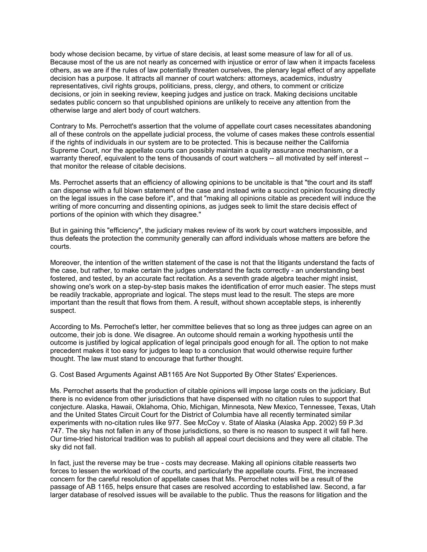body whose decision became, by virtue of stare decisis, at least some measure of law for all of us. Because most of the us are not nearly as concerned with injustice or error of law when it impacts faceless others, as we are if the rules of law potentially threaten ourselves, the plenary legal effect of any appellate decision has a purpose. It attracts all manner of court watchers: attorneys, academics, industry representatives, civil rights groups, politicians, press, clergy, and others, to comment or criticize decisions, or join in seeking review, keeping judges and justice on track. Making decisions uncitable sedates public concern so that unpublished opinions are unlikely to receive any attention from the otherwise large and alert body of court watchers.

Contrary to Ms. Perrochett's assertion that the volume of appellate court cases necessitates abandoning all of these controls on the appellate judicial process, the volume of cases makes these controls essential if the rights of individuals in our system are to be protected. This is because neither the California Supreme Court, nor the appellate courts can possibly maintain a quality assurance mechanism, or a warranty thereof, equivalent to the tens of thousands of court watchers -- all motivated by self interest - that monitor the release of citable decisions.

Ms. Perrochet asserts that an efficiency of allowing opinions to be uncitable is that "the court and its staff can dispense with a full blown statement of the case and instead write a succinct opinion focusing directly on the legal issues in the case before it", and that "making all opinions citable as precedent will induce the writing of more concurring and dissenting opinions, as judges seek to limit the stare decisis effect of portions of the opinion with which they disagree."

But in gaining this "efficiency", the judiciary makes review of its work by court watchers impossible, and thus defeats the protection the community generally can afford individuals whose matters are before the courts.

Moreover, the intention of the written statement of the case is not that the litigants understand the facts of the case, but rather, to make certain the judges understand the facts correctly - an understanding best fostered, and tested, by an accurate fact recitation. As a seventh grade algebra teacher might insist, showing one's work on a step-by-step basis makes the identification of error much easier. The steps must be readily trackable, appropriate and logical. The steps must lead to the result. The steps are more important than the result that flows from them. A result, without shown acceptable steps, is inherently suspect.

According to Ms. Perrochet's letter, her committee believes that so long as three judges can agree on an outcome, their job is done. We disagree. An outcome should remain a working hypothesis until the outcome is justified by logical application of legal principals good enough for all. The option to not make precedent makes it too easy for judges to leap to a conclusion that would otherwise require further thought. The law must stand to encourage that further thought.

G. Cost Based Arguments Against AB1165 Are Not Supported By Other States' Experiences.

Ms. Perrochet asserts that the production of citable opinions will impose large costs on the judiciary. But there is no evidence from other jurisdictions that have dispensed with no citation rules to support that conjecture. Alaska, Hawaii, Oklahoma, Ohio, Michigan, Minnesota, New Mexico, Tennessee, Texas, Utah and the United States Circuit Court for the District of Columbia have all recently terminated similar experiments with no-citation rules like 977. See McCoy v. State of Alaska (Alaska App. 2002) 59 P.3d 747. The sky has not fallen in any of those jurisdictions, so there is no reason to suspect it will fall here. Our time-tried historical tradition was to publish all appeal court decisions and they were all citable. The sky did not fall.

In fact, just the reverse may be true - costs may decrease. Making all opinions citable reasserts two forces to lessen the workload of the courts, and particularly the appellate courts. First, the increased concern for the careful resolution of appellate cases that Ms. Perrochet notes will be a result of the passage of AB 1165, helps ensure that cases are resolved according to established law. Second, a far larger database of resolved issues will be available to the public. Thus the reasons for litigation and the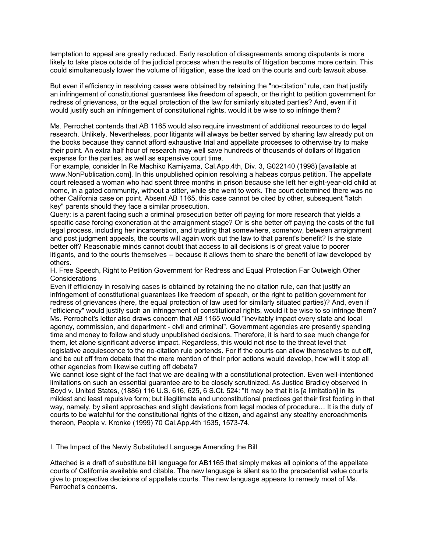temptation to appeal are greatly reduced. Early resolution of disagreements among disputants is more likely to take place outside of the judicial process when the results of litigation become more certain. This could simultaneously lower the volume of litigation, ease the load on the courts and curb lawsuit abuse.

But even if efficiency in resolving cases were obtained by retaining the "no-citation" rule, can that justify an infringement of constitutional guarantees like freedom of speech, or the right to petition government for redress of grievances, or the equal protection of the law for similarly situated parties? And, even if it would justify such an infringement of constitutional rights, would it be wise to so infringe them?

Ms. Perrochet contends that AB 1165 would also require investment of additional resources to do legal research. Unlikely. Nevertheless, poor litigants will always be better served by sharing law already put on the books because they cannot afford exhaustive trial and appellate processes to otherwise try to make their point. An extra half hour of research may well save hundreds of thousands of dollars of litigation expense for the parties, as well as expensive court time.

For example, consider In Re Machiko Kamiyama, Cal.App.4th, Div. 3, G022140 (1998) [available at www.NonPublication.com]. In this unpublished opinion resolving a habeas corpus petition. The appellate court released a woman who had spent three months in prison because she left her eight-year-old child at home, in a gated community, without a sitter, while she went to work. The court determined there was no other California case on point. Absent AB 1165, this case cannot be cited by other, subsequent "latch key" parents should they face a similar prosecution.

Query: is a parent facing such a criminal prosecution better off paying for more research that yields a specific case forcing exoneration at the arraignment stage? Or is she better off paying the costs of the full legal process, including her incarceration, and trusting that somewhere, somehow, between arraignment and post judgment appeals, the courts will again work out the law to that parent's benefit? Is the state better off? Reasonable minds cannot doubt that access to all decisions is of great value to poorer litigants, and to the courts themselves -- because it allows them to share the benefit of law developed by others.

H. Free Speech, Right to Petition Government for Redress and Equal Protection Far Outweigh Other **Considerations** 

Even if efficiency in resolving cases is obtained by retaining the no citation rule, can that justify an infringement of constitutional guarantees like freedom of speech, or the right to petition government for redress of grievances (here, the equal protection of law used for similarly situated parties)? And, even if "efficiency" would justify such an infringement of constitutional rights, would it be wise to so infringe them? Ms. Perrochet's letter also draws concern that AB 1165 would "inevitably impact every state and local agency, commission, and department - civil and criminal". Government agencies are presently spending time and money to follow and study unpublished decisions. Therefore, it is hard to see much change for them, let alone significant adverse impact. Regardless, this would not rise to the threat level that legislative acquiescence to the no-citation rule portends. For if the courts can allow themselves to cut off, and be cut off from debate that the mere mention of their prior actions would develop, how will it stop all other agencies from likewise cutting off debate?

We cannot lose sight of the fact that we are dealing with a constitutional protection. Even well-intentioned limitations on such an essential guarantee are to be closely scrutinized. As Justice Bradley observed in Boyd v. United States, (1886) 116 U.S. 616, 625, 6 S.Ct. 524: "It may be that it is [a limitation] in its mildest and least repulsive form; but illegitimate and unconstitutional practices get their first footing in that way, namely, by silent approaches and slight deviations from legal modes of procedure… It is the duty of courts to be watchful for the constitutional rights of the citizen, and against any stealthy encroachments thereon, People v. Kronke (1999) 70 Cal.App.4th 1535, 1573-74.

I. The Impact of the Newly Substituted Language Amending the Bill

Attached is a draft of substitute bill language for AB1165 that simply makes all opinions of the appellate courts of California available and citable. The new language is silent as to the precedential value courts give to prospective decisions of appellate courts. The new language appears to remedy most of Ms. Perrochet's concerns.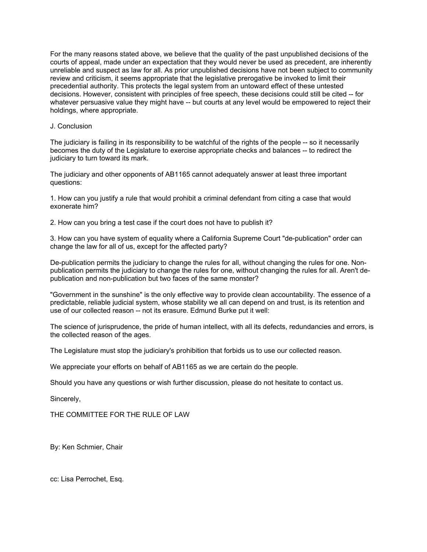For the many reasons stated above, we believe that the quality of the past unpublished decisions of the courts of appeal, made under an expectation that they would never be used as precedent, are inherently unreliable and suspect as law for all. As prior unpublished decisions have not been subject to community review and criticism, it seems appropriate that the legislative prerogative be invoked to limit their precedential authority. This protects the legal system from an untoward effect of these untested decisions. However, consistent with principles of free speech, these decisions could still be cited -- for whatever persuasive value they might have -- but courts at any level would be empowered to reject their holdings, where appropriate.

# J. Conclusion

The judiciary is failing in its responsibility to be watchful of the rights of the people -- so it necessarily becomes the duty of the Legislature to exercise appropriate checks and balances -- to redirect the judiciary to turn toward its mark.

The judiciary and other opponents of AB1165 cannot adequately answer at least three important questions:

1. How can you justify a rule that would prohibit a criminal defendant from citing a case that would exonerate him?

2. How can you bring a test case if the court does not have to publish it?

3. How can you have system of equality where a California Supreme Court "de-publication" order can change the law for all of us, except for the affected party?

De-publication permits the judiciary to change the rules for all, without changing the rules for one. Nonpublication permits the judiciary to change the rules for one, without changing the rules for all. Aren't depublication and non-publication but two faces of the same monster?

"Government in the sunshine" is the only effective way to provide clean accountability. The essence of a predictable, reliable judicial system, whose stability we all can depend on and trust, is its retention and use of our collected reason -- not its erasure. Edmund Burke put it well:

The science of jurisprudence, the pride of human intellect, with all its defects, redundancies and errors, is the collected reason of the ages.

The Legislature must stop the judiciary's prohibition that forbids us to use our collected reason.

We appreciate your efforts on behalf of AB1165 as we are certain do the people.

Should you have any questions or wish further discussion, please do not hesitate to contact us.

Sincerely,

THE COMMITTEE FOR THE RULE OF LAW

By: Ken Schmier, Chair

cc: Lisa Perrochet, Esq.